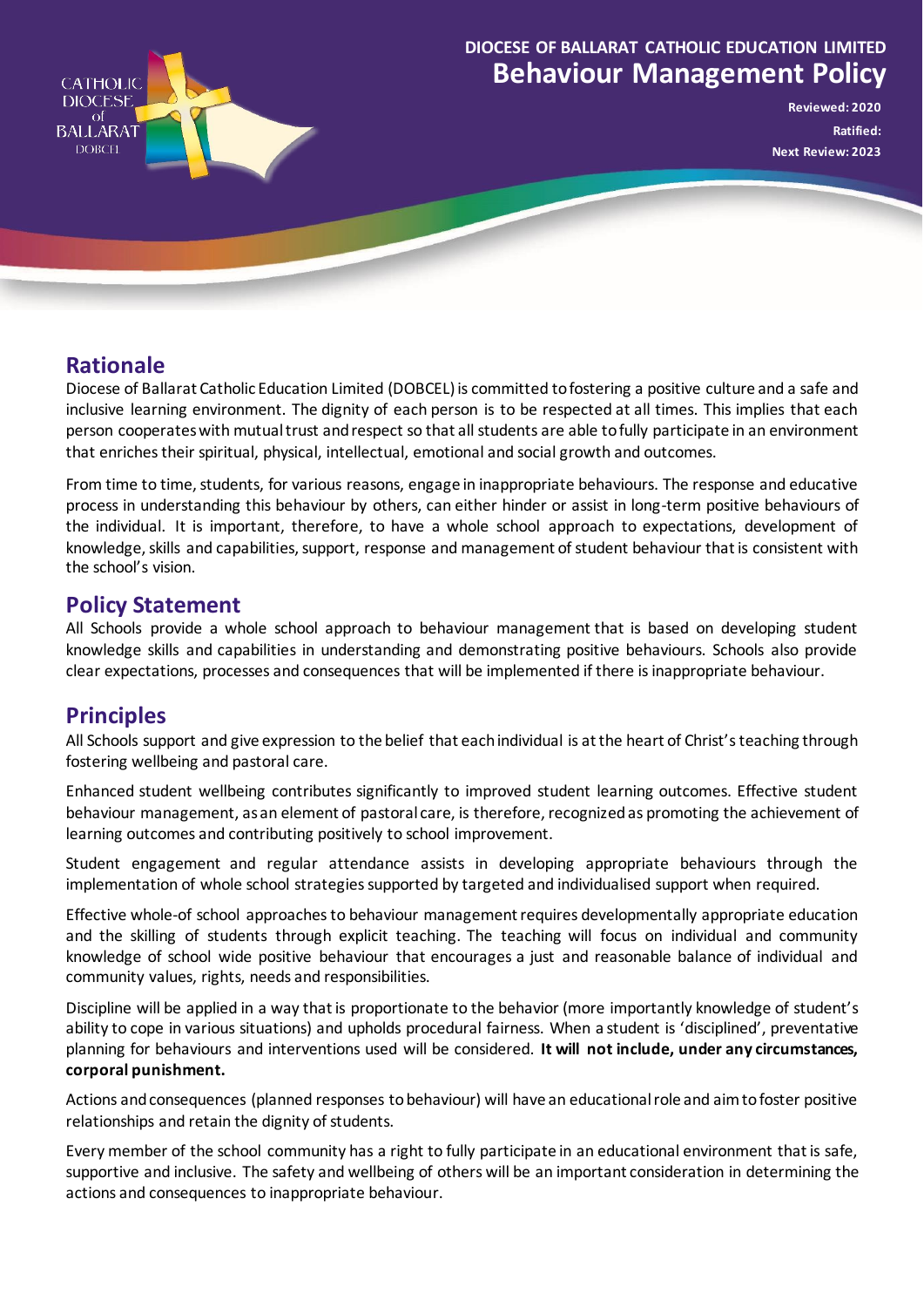

# **Behaviour Management Policy DIOCESE OF BALLARAT CATHOLIC EDUCATION LIMITED**

**Reviewed: 2020 Ratified: Next Review: 2023**

## **Rationale**

Diocese of Ballarat Catholic Education Limited (DOBCEL) is committed to fostering a positive culture and a safe and inclusive learning environment. The dignity of each person is to be respected at all times. This implies that each person cooperates with mutual trust and respect so that all students are able to fully participate in an environment that enriches their spiritual, physical, intellectual, emotional and social growth and outcomes.

From time to time, students, for various reasons, engage in inappropriate behaviours. The response and educative process in understanding this behaviour by others, can either hinder or assist in long-term positive behaviours of the individual. It is important, therefore, to have a whole school approach to expectations, development of knowledge, skills and capabilities, support, response and management of student behaviour that is consistent with the school's vision.

#### **Policy Statement**

All Schools provide a whole school approach to behaviour management that is based on developing student knowledge skills and capabilities in understanding and demonstrating positive behaviours. Schools also provide clear expectations, processes and consequences that will be implemented if there is inappropriate behaviour.

### **Principles**

All Schools support and give expression to the belief that each individual is at the heart of Christ's teaching through fostering wellbeing and pastoral care.

Enhanced student wellbeing contributes significantly to improved student learning outcomes. Effective student behaviour management, as an element of pastoral care, is therefore, recognized as promoting the achievement of learning outcomes and contributing positively to school improvement.

Student engagement and regular attendance assists in developing appropriate behaviours through the implementation of whole school strategies supported by targeted and individualised support when required.

Effective whole-of school approaches to behaviour management requires developmentally appropriate education and the skilling of students through explicit teaching. The teaching will focus on individual and community knowledge of school wide positive behaviour that encourages a just and reasonable balance of individual and community values, rights, needs and responsibilities.

Discipline will be applied in a way that is proportionate to the behavior (more importantly knowledge of student's ability to cope in various situations) and upholds procedural fairness. When a student is 'disciplined', preventative planning for behaviours and interventions used will be considered. **It will not include, under any circumstances, corporal punishment.**

Actions and consequences (planned responses to behaviour) will have an educational role and aim to foster positive relationships and retain the dignity of students.

Every member of the school community has a right to fully participate in an educational environment that is safe, supportive and inclusive. The safety and wellbeing of others will be an important consideration in determining the actions and consequences to inappropriate behaviour.